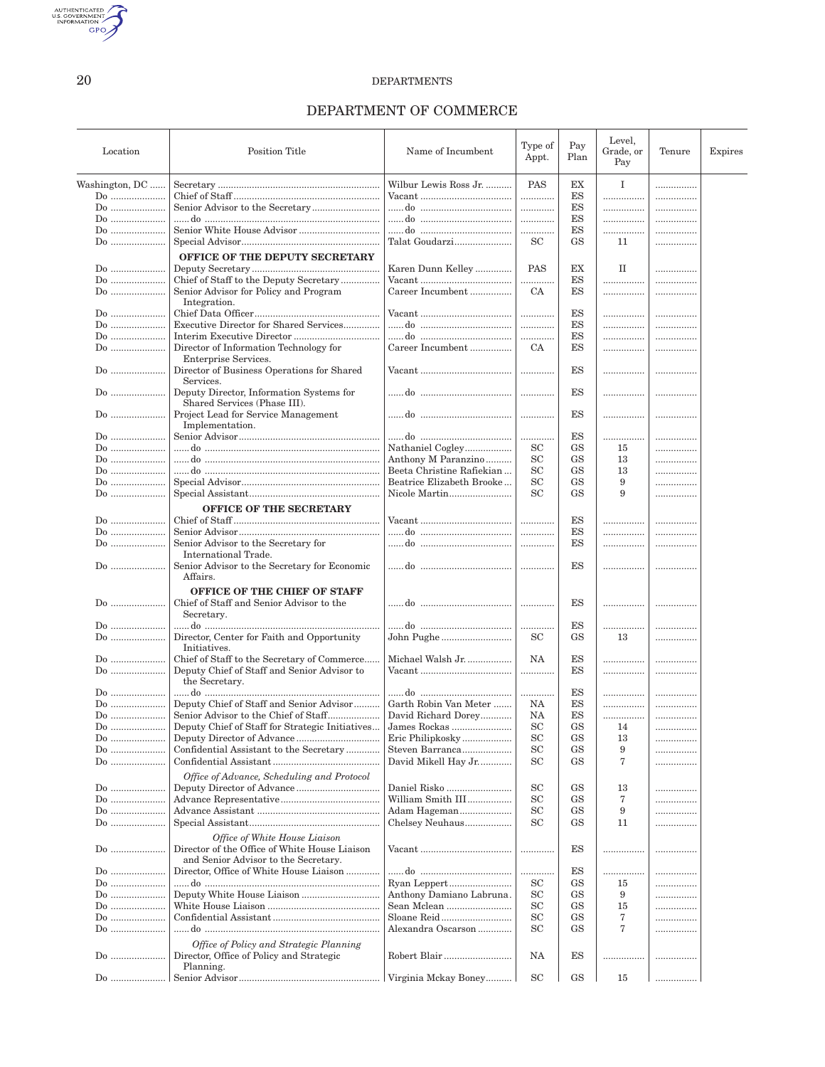AUTHENTICATED

20

#### **DEPARTMENTS**

## DEPARTMENT OF COMMERCE

| Location       | <b>Position Title</b>                                                                                                  | Name of Incumbent         | Type of<br>Appt.    | Pay<br>Plan   | Level,<br>Grade, or<br>Pay | Tenure | Expires |
|----------------|------------------------------------------------------------------------------------------------------------------------|---------------------------|---------------------|---------------|----------------------------|--------|---------|
| Washington, DC |                                                                                                                        | Wilbur Lewis Ross Jr.     | PAS                 | EX            | $\mathbf I$                |        |         |
| $Do$           |                                                                                                                        |                           |                     | ES            | .                          | .      |         |
| $Do$           |                                                                                                                        |                           | .                   | $_{\rm ES}$   |                            |        |         |
| $Do$           |                                                                                                                        |                           | .                   | $_{\rm ES}$   | .                          | .      |         |
| Do             |                                                                                                                        |                           |                     | $_{\rm ES}$   |                            |        |         |
| Do             |                                                                                                                        | Talat Goudarzi            | <b>SC</b>           | <b>GS</b>     | 11                         |        |         |
|                |                                                                                                                        |                           |                     |               |                            |        |         |
| $Do$           | OFFICE OF THE DEPUTY SECRETARY                                                                                         | Karen Dunn Kelley         | PAS                 | EX            | П                          |        |         |
| Do             | Chief of Staff to the Deputy Secretary                                                                                 |                           | .                   | ES            |                            | .      |         |
| Do             | Senior Advisor for Policy and Program<br>Integration.                                                                  | Career Incumbent          | CA                  | ES            | .                          |        |         |
| $Do$           |                                                                                                                        |                           | .                   | ES            |                            |        |         |
| $Do$           | Executive Director for Shared Services                                                                                 |                           | .                   | ES            |                            |        |         |
| $Do$           |                                                                                                                        |                           | .                   | ES            | .                          | .      |         |
| Do             | Director of Information Technology for                                                                                 | Career Incumbent          | CA.                 | ES            |                            |        |         |
| $Do$           | Enterprise Services.<br>Director of Business Operations for Shared                                                     |                           | .                   | ES            |                            |        |         |
|                | Services.                                                                                                              |                           |                     | ES            |                            |        |         |
| $Do$           | Deputy Director, Information Systems for<br>Shared Services (Phase III).                                               |                           | .                   |               | .                          |        |         |
| Do             | Project Lead for Service Management<br>Implementation.                                                                 |                           | .                   | ES            | .                          |        |         |
| $Do$           |                                                                                                                        |                           | .                   | ES            | .                          |        |         |
| $Do$           |                                                                                                                        | Nathaniel Cogley          | <b>SC</b>           | <b>GS</b>     | 15                         |        |         |
| $Do$           |                                                                                                                        | Anthony M Paranzino       | SC                  | GS            | 13                         | .      |         |
| $Do$           |                                                                                                                        | Beeta Christine Rafiekian | <b>SC</b>           | <b>GS</b>     | 13                         |        |         |
|                |                                                                                                                        | Beatrice Elizabeth Brooke | <b>SC</b>           | <b>GS</b>     | 9                          | .      |         |
| Do             |                                                                                                                        | Nicole Martin             | <b>SC</b>           | GS            | 9                          |        |         |
|                | OFFICE OF THE SECRETARY                                                                                                |                           |                     |               |                            |        |         |
| $Do$           |                                                                                                                        |                           | .                   | ES            |                            |        |         |
| Do             |                                                                                                                        |                           | .                   | ES            |                            |        |         |
| $Do$           | Senior Advisor to the Secretary for                                                                                    |                           |                     | ES            | .                          |        |         |
|                | International Trade.<br>Senior Advisor to the Secretary for Economic                                                   |                           | .                   | ES            |                            |        |         |
| Do             | Affairs.                                                                                                               |                           |                     |               |                            |        |         |
| Do             | OFFICE OF THE CHIEF OF STAFF<br>Chief of Staff and Senior Advisor to the<br>Secretary.                                 |                           | .                   | ES            |                            |        |         |
| $Do$           |                                                                                                                        |                           |                     | ES            |                            |        |         |
| Do             | Director, Center for Faith and Opportunity<br>Initiatives.                                                             | John Pughe                | SC                  | GS            | 13                         |        |         |
|                | Chief of Staff to the Secretary of Commerce                                                                            | Michael Walsh Jr.         | NA                  | ES            |                            |        |         |
| Do             | Deputy Chief of Staff and Senior Advisor to<br>the Secretary.                                                          |                           | .                   | ES            |                            |        |         |
| $Do$           |                                                                                                                        |                           | .                   | ES            | .                          | .      |         |
| Do             | Deputy Chief of Staff and Senior Advisor                                                                               | Garth Robin Van Meter     | NA                  | ES            |                            | .      |         |
| Do             |                                                                                                                        | David Richard Dorey       | NA                  | ES            |                            | .      |         |
| Do:            | Deputy Chief of Staff for Strategic Initiatives                                                                        | James Rockas              | $\operatorname{SC}$ | $\mathrm{GS}$ | 14                         |        |         |
| Do             |                                                                                                                        | Eric Philipkosky          | SC                  | GS            | 13                         |        |         |
| Do             | Confidential Assistant to the Secretary                                                                                | Steven Barranca           | <b>SC</b>           | GS            | 9                          |        |         |
|                |                                                                                                                        |                           |                     |               |                            | .      |         |
|                | Office of Advance, Scheduling and Protocol                                                                             | David Mikell Hay Jr       | <b>SC</b>           | GS            | 7                          | .      |         |
| $Do$           |                                                                                                                        | Daniel Risko              | <b>SC</b>           | GS            | 13                         | .      |         |
| $Do$           |                                                                                                                        | William Smith III         | <b>SC</b>           | GS            | 7                          | .      |         |
| $Do$           |                                                                                                                        | Adam Hageman              | SC                  | GS            | 9                          | .      |         |
| $Do$           |                                                                                                                        | Chelsey Neuhaus           | <b>SC</b>           | GS            | 11                         | .      |         |
| Do             | Office of White House Liaison<br>Director of the Office of White House Liaison<br>and Senior Advisor to the Secretary. |                           |                     | ES            |                            | .      |         |
| Do             | Director, Office of White House Liaison                                                                                |                           | .                   | ES            |                            |        |         |
| $Do$           |                                                                                                                        | Ryan Leppert              | <b>SC</b>           | <b>GS</b>     | 15                         | .      |         |
| $Do$           |                                                                                                                        | Anthony Damiano Labruna.  | <b>SC</b>           | GS            | 9                          |        |         |
| $Do$           |                                                                                                                        | Sean Mclean               | SC                  | GS            | 15                         |        |         |
| $Do$           |                                                                                                                        |                           | <b>SC</b>           | GS            | 7                          | .      |         |
| Do             |                                                                                                                        | Alexandra Oscarson        | <b>SC</b>           | GS            | 7                          | .      |         |
| $Do$           | Office of Policy and Strategic Planning<br>Director, Office of Policy and Strategic                                    | Robert Blair              | NA                  | ES            |                            | .      |         |
| Do             | Planning.                                                                                                              | Virginia Mckay Boney      | $\operatorname{SC}$ | <b>GS</b>     | 15                         |        |         |
|                |                                                                                                                        |                           |                     |               |                            |        |         |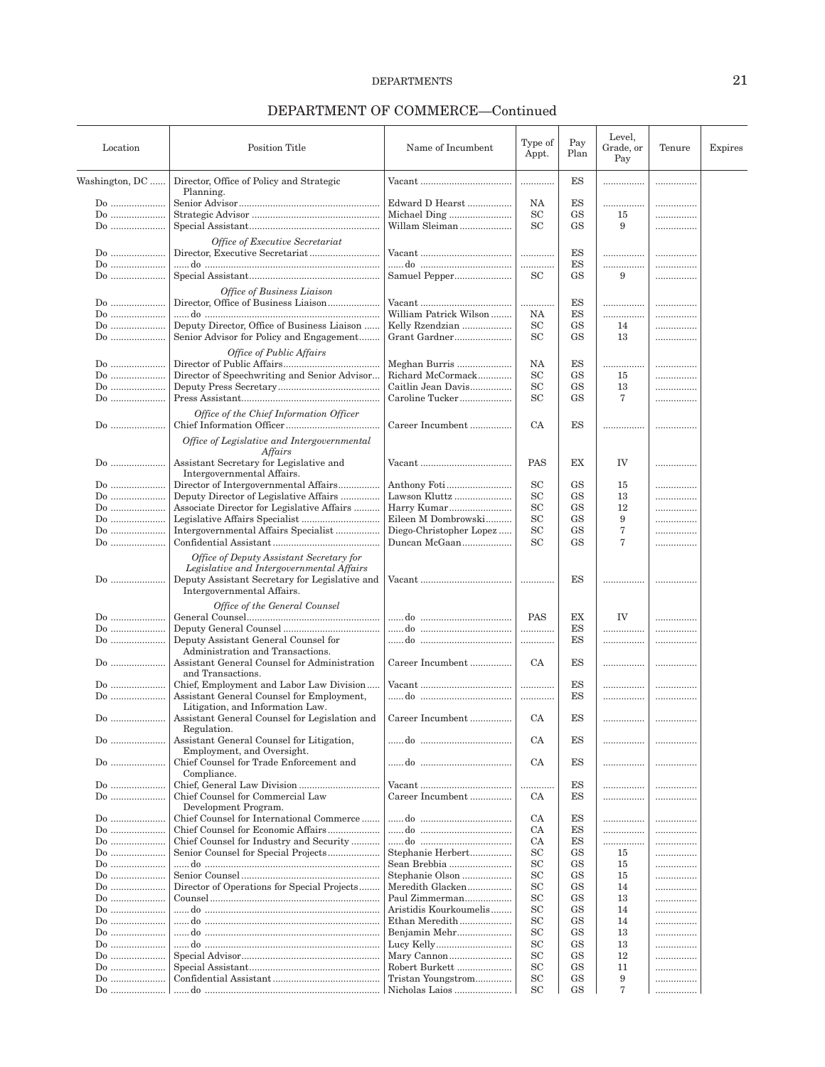| Location       | <b>Position Title</b>                                                                 | Name of Incumbent       | Type of<br>Appt. | Pay<br>Plan | Level,<br>Grade, or<br>Pay | Tenure | Expires |
|----------------|---------------------------------------------------------------------------------------|-------------------------|------------------|-------------|----------------------------|--------|---------|
| Washington, DC | Director, Office of Policy and Strategic                                              |                         | .                | ES          | .                          | .      |         |
|                | Planning.                                                                             |                         |                  |             |                            |        |         |
| Do             |                                                                                       | Edward D Hearst         | NA               | ES          | .                          |        |         |
| $Do$           |                                                                                       |                         | SC               | <b>GS</b>   | 15                         |        |         |
|                |                                                                                       | Willam Sleiman          | <b>SC</b>        | <b>GS</b>   | 9                          |        |         |
| Do             |                                                                                       |                         |                  |             |                            |        |         |
|                | Office of Executive Secretariat                                                       |                         |                  |             |                            |        |         |
| Do             |                                                                                       |                         |                  | ES          |                            |        |         |
| Do             |                                                                                       |                         | .                | ES          | .                          |        |         |
| Do             |                                                                                       |                         | SC               | <b>GS</b>   | 9                          |        |         |
|                |                                                                                       | Samuel Pepper           |                  |             |                            |        |         |
|                | Office of Business Liaison                                                            |                         |                  |             |                            |        |         |
| Do             |                                                                                       |                         | .                | ES          | .                          | .      |         |
| $Do$           |                                                                                       | William Patrick Wilson  | NA               | ES          | .                          | .      |         |
| $Do$           | Deputy Director, Office of Business Liaison                                           | Kelly Rzendzian         | SC               | <b>GS</b>   | 14                         |        |         |
|                |                                                                                       |                         |                  |             |                            |        |         |
| Do             | Senior Advisor for Policy and Engagement                                              | Grant Gardner           | <b>SC</b>        | <b>GS</b>   | 13                         | .      |         |
|                | Office of Public Affairs                                                              |                         |                  |             |                            |        |         |
| Do             |                                                                                       | Meghan Burris           | NA               | ES          |                            |        |         |
|                | Director of Speechwriting and Senior Advisor                                          | Richard McCormack       | SC               | <b>GS</b>   | 15                         |        |         |
|                |                                                                                       |                         |                  |             |                            | .      |         |
| $Do$           |                                                                                       | Caitlin Jean Davis      | SC               | <b>GS</b>   | 13                         |        |         |
| Do             |                                                                                       | Caroline Tucker         | SC               | <b>GS</b>   | 7                          | .      |         |
|                | Office of the Chief Information Officer                                               |                         |                  |             |                            |        |         |
| $Do$           |                                                                                       | Career Incumbent        | CA               | ES          |                            |        |         |
|                |                                                                                       |                         |                  |             |                            |        |         |
|                | Office of Legislative and Intergovernmental                                           |                         |                  |             |                            |        |         |
|                | Affairs                                                                               |                         |                  |             |                            |        |         |
| $Do$           | Assistant Secretary for Legislative and                                               |                         | PAS              | EX          | IV                         |        |         |
|                | Intergovernmental Affairs.                                                            |                         |                  |             |                            |        |         |
| Do             | Director of Intergovernmental Affairs                                                 | Anthony Foti            | <b>SC</b>        | <b>GS</b>   | 15                         |        |         |
|                |                                                                                       |                         |                  |             |                            |        |         |
| $Do$           | Deputy Director of Legislative Affairs                                                | Lawson Kluttz           | <b>SC</b>        | <b>GS</b>   | 13                         |        |         |
| $Do$           | Associate Director for Legislative Affairs                                            | Harry Kumar             | SC               | GS          | 12                         |        |         |
| Do             |                                                                                       | Eileen M Dombrowski     | <b>SC</b>        | <b>GS</b>   | 9                          |        |         |
| Do             | Intergovernmental Affairs Specialist                                                  | Diego-Christopher Lopez | <b>SC</b>        | <b>GS</b>   | 7                          |        |         |
| Do             |                                                                                       | Duncan McGaan           | <b>SC</b>        | <b>GS</b>   | 7                          |        |         |
|                | Office of Deputy Assistant Secretary for<br>Legislative and Intergovernmental Affairs |                         |                  |             |                            |        |         |
| Do             | Deputy Assistant Secretary for Legislative and<br>Intergovernmental Affairs.          |                         | .                | ES          | .                          |        |         |
|                | Office of the General Counsel                                                         |                         |                  |             |                            |        |         |
| Do             |                                                                                       |                         | PAS              | EX          | IV                         |        |         |
| $Do$           |                                                                                       |                         | .                | ES          | .                          | .      |         |
| Do             | Deputy Assistant General Counsel for                                                  |                         | .                | ES          | .                          |        |         |
|                | Administration and Transactions.                                                      |                         |                  |             |                            |        |         |
|                |                                                                                       |                         |                  |             |                            |        |         |
| Do             | Assistant General Counsel for Administration                                          | Career Incumbent        | CA               | ES          | .                          | .      |         |
|                | and Transactions.                                                                     |                         |                  |             |                            |        |         |
| Do             | Chief, Employment and Labor Law Division                                              |                         | .                | ES          |                            | .      |         |
| Do             | Assistant General Counsel for Employment,                                             |                         |                  | ES          |                            |        |         |
|                | Litigation, and Information Law.                                                      |                         |                  |             |                            |        |         |
| $Do$           | Assistant General Counsel for Legislation and                                         | Career Incumbent        | CA               | ES          |                            |        |         |
|                | Regulation.                                                                           |                         |                  |             |                            |        |         |
|                |                                                                                       |                         |                  |             |                            |        |         |
| Do             | Assistant General Counsel for Litigation,                                             |                         | CA               | ES          |                            |        |         |
|                | Employment, and Oversight.                                                            |                         |                  |             |                            |        |         |
| Do             | Chief Counsel for Trade Enforcement and                                               |                         | CA               | ES          | .                          |        |         |
|                | Compliance.                                                                           |                         |                  |             |                            |        |         |
| Do             | Chief, General Law Division                                                           |                         | .                | ES          |                            |        |         |
| $Do$           | Chief Counsel for Commercial Law                                                      | Career Incumbent        | CA               | ES          | .                          |        |         |
|                | Development Program.                                                                  |                         |                  |             |                            |        |         |
| Do             | Chief Counsel for International Commerce                                              |                         | CA               | ES          | .                          | .      |         |
| Do             | Chief Counsel for Economic Affairs                                                    |                         | CA               | ES          | .                          |        |         |
|                |                                                                                       |                         |                  |             |                            |        |         |
| Do             | Chief Counsel for Industry and Security                                               |                         | CA               | ES          | .                          |        |         |
| Do             | Senior Counsel for Special Projects                                                   | Stephanie Herbert       | <b>SC</b>        | <b>GS</b>   | 15                         |        |         |
| $Do$           |                                                                                       | Sean Brebbia            | SC               | GS          | 15                         |        |         |
| Do             |                                                                                       | Stephanie Olson         | <b>SC</b>        | GS          | 15                         |        |         |
| Do             | Director of Operations for Special Projects                                           | Meredith Glacken        | SC               | <b>GS</b>   | 14                         |        |         |
| Do             |                                                                                       | Paul Zimmerman          | <b>SC</b>        | <b>GS</b>   | 13                         |        |         |
|                |                                                                                       |                         | <b>SC</b>        |             |                            |        |         |
| $Do$           |                                                                                       | Aristidis Kourkoumelis  |                  | GS          | 14                         |        |         |
| $Do$           |                                                                                       | Ethan Meredith          | <b>SC</b>        | <b>GS</b>   | 14                         |        |         |
| Do             |                                                                                       | Benjamin Mehr           | <b>SC</b>        | GS          | 13                         |        |         |
| Do             |                                                                                       |                         | SC               | GS          | 13                         |        |         |
| Do             |                                                                                       |                         | <b>SC</b>        | <b>GS</b>   | 12                         | .      |         |
| Do             |                                                                                       | Robert Burkett          | <b>SC</b>        | <b>GS</b>   | 11                         |        |         |
| $Do$           |                                                                                       | Tristan Youngstrom      | <b>SC</b>        | GS          | 9                          |        |         |
|                |                                                                                       |                         |                  |             | 7                          |        |         |
| Do             |                                                                                       | Nicholas Laios          | <b>SC</b>        | GS          |                            | .      |         |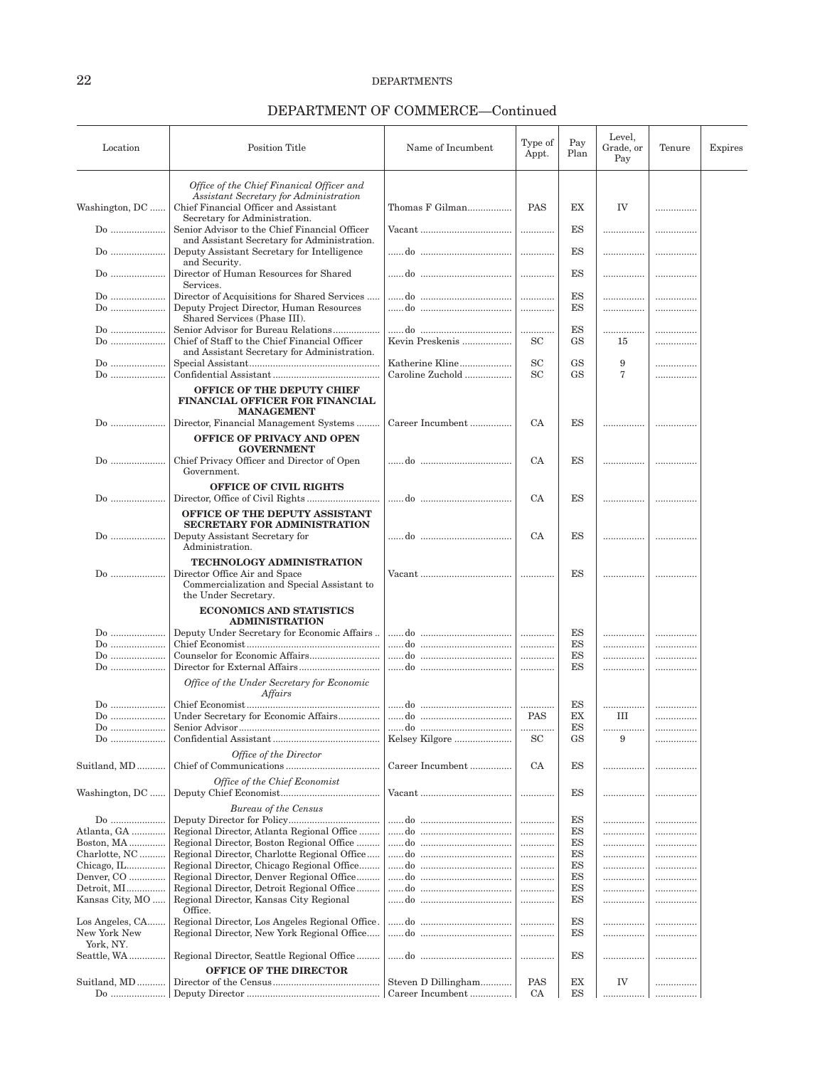| Location                                     | <b>Position Title</b>                                                                                                               | Name of Incumbent   | Type of<br>Appt. | Pay<br>Plan     | Level,<br>Grade, or<br>Pay | Tenure | Expires |
|----------------------------------------------|-------------------------------------------------------------------------------------------------------------------------------------|---------------------|------------------|-----------------|----------------------------|--------|---------|
|                                              | Office of the Chief Finanical Officer and                                                                                           |                     |                  |                 |                            |        |         |
| Washington, DC                               | Assistant Secretary for Administration                                                                                              | Thomas F Gilman     | <b>PAS</b>       | <b>EX</b>       | IV                         |        |         |
|                                              | Chief Financial Officer and Assistant<br>Secretary for Administration.                                                              |                     |                  |                 |                            |        |         |
| Do                                           | Senior Advisor to the Chief Financial Officer                                                                                       |                     |                  | <b>ES</b>       |                            |        |         |
| Do                                           | and Assistant Secretary for Administration.<br>Deputy Assistant Secretary for Intelligence<br>and Security.                         |                     | .                | <b>ES</b>       |                            | .      |         |
| $Do$                                         | Director of Human Resources for Shared<br>Services.                                                                                 |                     | .                | ES              |                            | .      |         |
| Do                                           | Director of Acquisitions for Shared Services                                                                                        |                     | .                | ES              |                            |        |         |
| $Do$                                         | Deputy Project Director, Human Resources<br>Shared Services (Phase III).                                                            |                     | .                | ES              |                            | .      |         |
| Do<br>Do                                     | Senior Advisor for Bureau Relations<br>Chief of Staff to the Chief Financial Officer<br>and Assistant Secretary for Administration. | Kevin Preskenis     | .<br><b>SC</b>   | ES<br><b>GS</b> | .<br>15                    | .<br>  |         |
| Do                                           |                                                                                                                                     | Katherine Kline     | <b>SC</b>        | GS              | 9                          |        |         |
| $Do$                                         |                                                                                                                                     | Caroline Zuchold    | <b>SC</b>        | <b>GS</b>       | 7                          | .      |         |
| Do                                           | OFFICE OF THE DEPUTY CHIEF<br>FINANCIAL OFFICER FOR FINANCIAL<br><b>MANAGEMENT</b><br>Director, Financial Management Systems        | Career Incumbent    | <b>CA</b>        | ES              | .                          | .      |         |
|                                              | <b>OFFICE OF PRIVACY AND OPEN</b><br><b>GOVERNMENT</b>                                                                              |                     |                  |                 |                            |        |         |
| Do                                           | Chief Privacy Officer and Director of Open<br>Government.                                                                           |                     | CA               | ES              | .                          |        |         |
|                                              | <b>OFFICE OF CIVIL RIGHTS</b>                                                                                                       |                     |                  |                 |                            |        |         |
| Do                                           | OFFICE OF THE DEPUTY ASSISTANT                                                                                                      |                     | <b>CA</b>        | ES              | .                          |        |         |
|                                              | <b>SECRETARY FOR ADMINISTRATION</b>                                                                                                 |                     |                  |                 |                            |        |         |
| Do                                           | Deputy Assistant Secretary for<br>Administration.                                                                                   |                     | <b>CA</b>        | ES              | .                          | .      |         |
| Do                                           | TECHNOLOGY ADMINISTRATION<br>Director Office Air and Space<br>Commercialization and Special Assistant to                            |                     | $\ddotsc$        | ES              |                            |        |         |
|                                              | the Under Secretary.<br><b>ECONOMICS AND STATISTICS</b><br><b>ADMINISTRATION</b>                                                    |                     |                  |                 |                            |        |         |
| $Do$                                         | Deputy Under Secretary for Economic Affairs                                                                                         |                     | .                | ES              | .                          | .      |         |
| $Do$                                         |                                                                                                                                     |                     | .                | ES              |                            | .      |         |
| Do                                           |                                                                                                                                     |                     |                  | ES              |                            | .      |         |
| Do                                           |                                                                                                                                     |                     | .                | ES              |                            |        |         |
|                                              | Office of the Under Secretary for Economic<br>Affairs                                                                               |                     |                  |                 |                            |        |         |
| Do                                           | Under Secretary for Economic Affairs                                                                                                |                     | .<br><b>PAS</b>  | ES<br>EX        | <br>Ш                      |        |         |
| Do<br>$Do$                                   |                                                                                                                                     |                     |                  | ES              |                            | .      |         |
| Do                                           |                                                                                                                                     | Kelsey Kilgore      | <b>SC</b>        | GS              | 9                          | .      |         |
| Suitland, MD                                 | Office of the Director                                                                                                              | Career Incumbent    | CA               | ES              |                            |        |         |
| Washington, DC                               | Office of the Chief Economist                                                                                                       |                     | .                | ES              |                            |        |         |
|                                              | <b>Bureau of the Census</b>                                                                                                         |                     |                  |                 |                            |        |         |
| Do                                           |                                                                                                                                     |                     | .                | ES              |                            |        |         |
| Atlanta, GA                                  | Regional Director, Atlanta Regional Office                                                                                          |                     | .                | ES              |                            |        |         |
| Boston, MA                                   | Regional Director, Boston Regional Office                                                                                           |                     | .                | ES<br>ES        | .                          |        |         |
| Charlotte, NC<br>Chicago, IL                 | Regional Director, Charlotte Regional Office<br>Regional Director, Chicago Regional Office                                          |                     | .<br>.           | ES              | <br>.                      | .      |         |
| Denver, CO                                   | Regional Director, Denver Regional Office                                                                                           |                     | .                | ES              |                            |        |         |
| Detroit, MI                                  | Regional Director, Detroit Regional Office                                                                                          |                     | .                | ES              |                            |        |         |
| Kansas City, MO                              | Regional Director, Kansas City Regional                                                                                             |                     | .                | ES              | .                          |        |         |
|                                              | Office.                                                                                                                             |                     | .                | ES              |                            |        |         |
| Los Angeles, CA<br>New York New<br>York, NY. | Regional Director, Los Angeles Regional Office.<br>Regional Director, New York Regional Office                                      |                     | .                | ES              |                            |        |         |
| Seattle, WA                                  | Regional Director, Seattle Regional Office                                                                                          |                     | .                | ES              |                            |        |         |
|                                              | OFFICE OF THE DIRECTOR                                                                                                              |                     |                  |                 |                            |        |         |
| Suitland, MD                                 |                                                                                                                                     | Steven D Dillingham | PAS              | EX              | IV                         |        |         |
| Do                                           |                                                                                                                                     | Career Incumbent    | <b>CA</b>        | ES              |                            |        |         |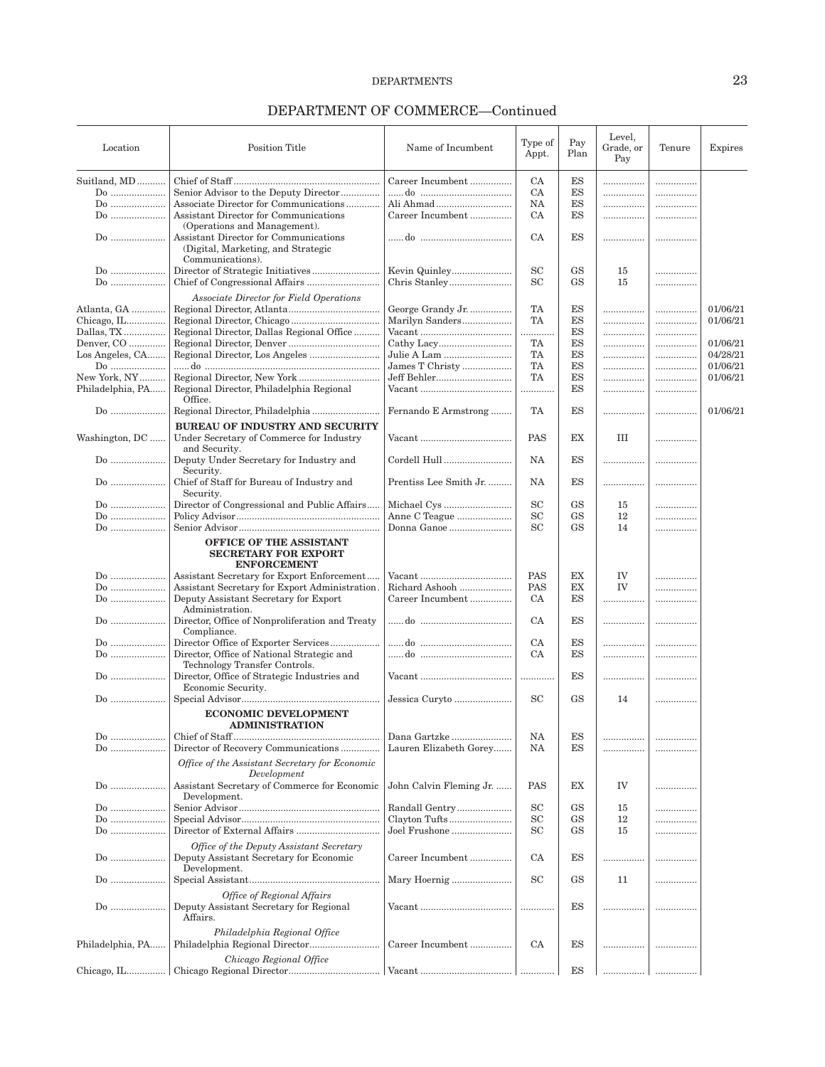| Location         | <b>Position Title</b>                                                                                       | Name of Incumbent       | Type of<br>Appt. | Pay<br>Plan                | Level,<br>Grade, or<br>Pay | Tenure | Expires  |
|------------------|-------------------------------------------------------------------------------------------------------------|-------------------------|------------------|----------------------------|----------------------------|--------|----------|
| Suitland, MD     |                                                                                                             | Career Incumbent        | CA               | ES                         |                            |        |          |
| Do               | Senior Advisor to the Deputy Director                                                                       |                         | CA               | ES                         | <br>                       | <br>   |          |
|                  | Associate Director for Communications                                                                       |                         | NA               | ES                         |                            |        |          |
|                  | Assistant Director for Communications                                                                       |                         |                  | $_{\rm ES}$                | .                          | .      |          |
| Do               |                                                                                                             | Career Incumbent        | CA               |                            |                            |        |          |
| Do               | (Operations and Management).<br>Assistant Director for Communications<br>(Digital, Marketing, and Strategic |                         | CA               | <b>ES</b>                  |                            |        |          |
|                  | Communications).                                                                                            |                         |                  |                            |                            |        |          |
| Do               |                                                                                                             |                         | <b>SC</b>        | <b>GS</b>                  | 15                         | .      |          |
| Do               |                                                                                                             |                         | <b>SC</b>        | <b>GS</b>                  | 15                         |        |          |
|                  | <b>Associate Director for Field Operations</b>                                                              |                         |                  |                            |                            |        |          |
| Atlanta, GA      |                                                                                                             | George Grandy Jr.       | TA               | ES                         |                            |        | 01/06/21 |
| Chicago, IL      |                                                                                                             | Marilyn Sanders         | TA               | $_{\rm ES}$                |                            | .      | 01/06/21 |
| Dallas, TX       | Regional Director, Dallas Regional Office                                                                   |                         | .                | ES                         |                            | .      |          |
| Denver, CO       |                                                                                                             |                         | TA               | ES                         |                            | .      | 01/06/21 |
| Los Angeles, CA  |                                                                                                             |                         | TA               | $_{\rm ES}$                |                            | .      | 04/28/21 |
| Do               |                                                                                                             | James T Christy         | TA               | $_{\rm ES}$                |                            | .      | 01/06/21 |
| New York, NY     |                                                                                                             | Jeff Behler             | TA               | $_{\rm ES}$                | .                          |        | 01/06/21 |
| Philadelphia, PA | Regional Director, Philadelphia Regional                                                                    |                         |                  | $_{\rm ES}$                | .                          |        |          |
|                  | Office.                                                                                                     |                         |                  |                            |                            |        |          |
| Do               | Regional Director, Philadelphia                                                                             | Fernando E Armstrong    | TA               | <b>ES</b>                  |                            |        | 01/06/21 |
|                  | <b>BUREAU OF INDUSTRY AND SECURITY</b>                                                                      |                         |                  |                            |                            |        |          |
| Washington, DC   | Under Secretary of Commerce for Industry<br>and Security.                                                   |                         | PAS              | EX                         | III                        | .      |          |
| $Do$             | Deputy Under Secretary for Industry and<br>Security.                                                        | Cordell Hull            | <b>NA</b>        | ES                         | .                          | .      |          |
| $Do$             | Chief of Staff for Bureau of Industry and<br>Security.                                                      | Prentiss Lee Smith Jr.  | <b>NA</b>        | ES                         |                            | .      |          |
| Do               | Director of Congressional and Public Affairs                                                                | Michael Cys             | <b>SC</b>        | <b>GS</b>                  | 15                         |        |          |
| Do               |                                                                                                             | Anne C Teague           | <b>SC</b>        | GS                         | 12                         |        |          |
| $Do$             |                                                                                                             | Donna Ganoe             | <b>SC</b>        | <b>GS</b>                  | 14                         |        |          |
|                  | OFFICE OF THE ASSISTANT<br><b>SECRETARY FOR EXPORT</b><br><b>ENFORCEMENT</b>                                |                         |                  |                            |                            |        |          |
| Do               | Assistant Secretary for Export Enforcement                                                                  |                         | PAS              | EX                         | IV                         |        |          |
| Do               | Assistant Secretary for Export Administration.                                                              | Richard Ashooh          | <b>PAS</b>       | $\mathop{\rm EX}\nolimits$ | <b>IV</b>                  |        |          |
| Do               | Deputy Assistant Secretary for Export                                                                       | Career Incumbent        | CA               | $_{\rm ES}$                | .                          | .      |          |
| $Do$             | Administration.<br>Director, Office of Nonproliferation and Treaty<br>Compliance.                           |                         | CA               | ES                         | .                          | .      |          |
| $Do$             | Director Office of Exporter Services                                                                        |                         | CA               | $_{\rm ES}$                |                            |        |          |
| Do               | Director, Office of National Strategic and                                                                  |                         | CA               | ES                         | <br>                       | .<br>  |          |
|                  | Technology Transfer Controls.                                                                               |                         |                  |                            |                            |        |          |
| $Do$             | Director, Office of Strategic Industries and<br>Economic Security.                                          |                         | .                | ES                         |                            |        |          |
| Do               |                                                                                                             | Jessica Curyto          | <b>SC</b>        | <b>GS</b>                  | 14                         | .      |          |
|                  | <b>ECONOMIC DEVELOPMENT</b><br><b>ADMINISTRATION</b>                                                        |                         |                  |                            |                            |        |          |
| Do               |                                                                                                             | Dana Gartzke            | NA               | ES                         |                            |        |          |
| Do               | Director of Recovery Communications                                                                         | Lauren Elizabeth Gorey  | NA               | ES                         | .                          |        |          |
|                  | Office of the Assistant Secretary for Economic<br>Development                                               |                         |                  |                            |                            |        |          |
| $Do$             | Assistant Secretary of Commerce for Economic<br>Development.                                                | John Calvin Fleming Jr. | PAS              | EX                         | IV                         | .      |          |
| $Do$             |                                                                                                             | Randall Gentry          | <b>SC</b>        | <b>GS</b>                  | 15                         | .      |          |
| Do               |                                                                                                             | Clayton Tufts           | $_{\rm SC}$      | GS                         | 12                         |        |          |
| Do               |                                                                                                             | Joel Frushone           | <b>SC</b>        | <b>GS</b>                  | 15                         |        |          |
|                  | Office of the Deputy Assistant Secretary                                                                    |                         |                  |                            |                            |        |          |
| $Do$             | Deputy Assistant Secretary for Economic<br>Development.                                                     | Career Incumbent        | CA               | ES                         |                            | .      |          |
| Do               |                                                                                                             | Mary Hoernig            | <b>SC</b>        | <b>GS</b>                  | 11                         | .      |          |
|                  | Office of Regional Affairs<br>Deputy Assistant Secretary for Regional<br>Affairs.                           |                         |                  | ES                         |                            | .      |          |
| Philadelphia, PA | Philadelphia Regional Office                                                                                | Career Incumbent        | CA               | ES                         |                            |        |          |
|                  | Chicago Regional Office                                                                                     |                         |                  |                            |                            |        |          |
|                  |                                                                                                             |                         |                  | ES                         |                            |        |          |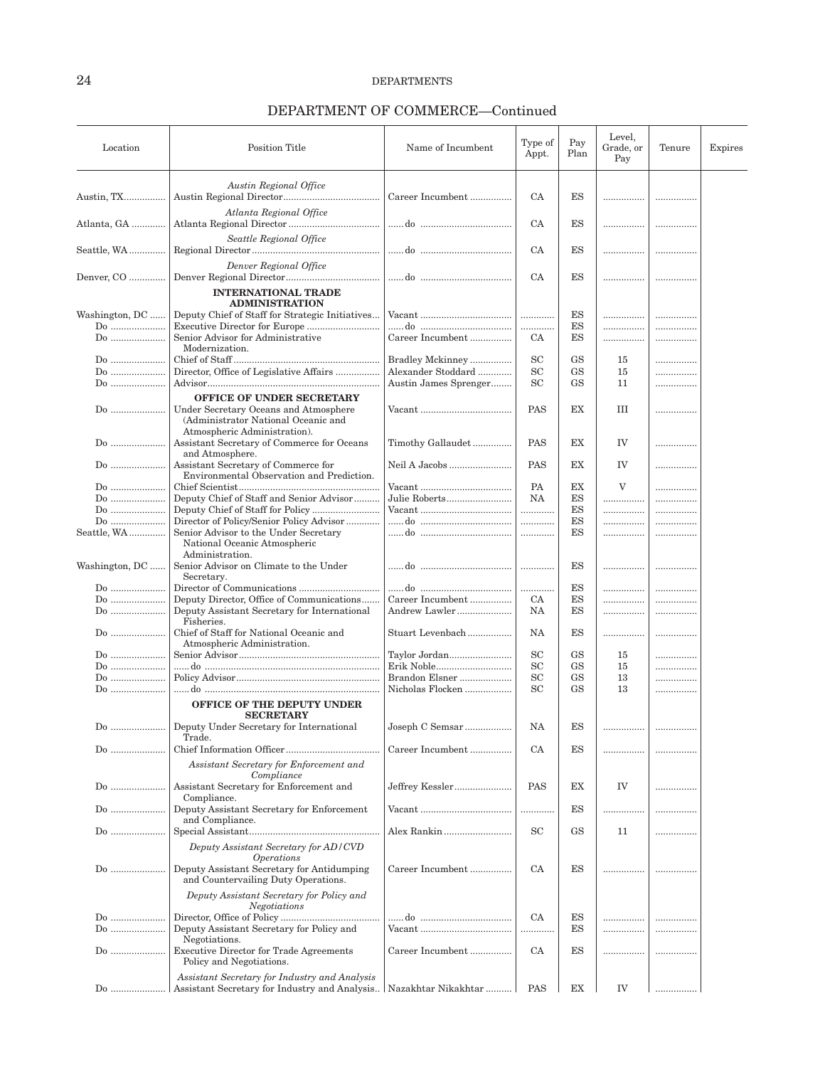| Location       | <b>Position Title</b>                                                                                        | Name of Incumbent                                        | Type of<br>Appt. | Pay<br>Plan | Level,<br>Grade, or<br>Pay | Tenure | Expires |
|----------------|--------------------------------------------------------------------------------------------------------------|----------------------------------------------------------|------------------|-------------|----------------------------|--------|---------|
|                | Austin Regional Office                                                                                       |                                                          |                  |             |                            |        |         |
| Austin, TX     |                                                                                                              | Career Incumbent                                         | CA               | ES          |                            |        |         |
| Atlanta, GA    | Atlanta Regional Office                                                                                      |                                                          | CA               | ES          |                            |        |         |
| Seattle, WA    | Seattle Regional Office                                                                                      |                                                          | <b>CA</b>        | ES          | .                          |        |         |
|                | Denver Regional Office                                                                                       |                                                          |                  |             |                            |        |         |
| Denver, CO     | <b>INTERNATIONAL TRADE</b>                                                                                   |                                                          | CA               | ES          |                            |        |         |
| Washington, DC | <b>ADMINISTRATION</b><br>Deputy Chief of Staff for Strategic Initiatives                                     |                                                          | .                | ES          | .                          | .      |         |
| Do             | Executive Director for Europe                                                                                |                                                          | .                | ES          | .                          | .      |         |
| Do             | Senior Advisor for Administrative<br>Modernization.                                                          | Career Incumbent                                         | CA               | ES          | .                          |        |         |
| Do             |                                                                                                              | Bradley Mckinney                                         | <b>SC</b>        | <b>GS</b>   | 15                         |        |         |
| $Do$           | Director, Office of Legislative Affairs                                                                      | Alexander Stoddard                                       | <b>SC</b>        | <b>GS</b>   | 15                         | .      |         |
| Do             |                                                                                                              | Austin James Sprenger                                    | <b>SC</b>        | <b>GS</b>   | 11                         | .      |         |
|                | OFFICE OF UNDER SECRETARY                                                                                    |                                                          |                  |             |                            |        |         |
| $Do$           | Under Secretary Oceans and Atmosphere<br>(Administrator National Oceanic and<br>Atmospheric Administration). | Vacant                                                   | PAS              | EX          | III                        |        |         |
| $Do$           | Assistant Secretary of Commerce for Oceans<br>and Atmosphere.                                                | Timothy Gallaudet                                        | <b>PAS</b>       | <b>EX</b>   | IV                         | .      |         |
| Do             | Assistant Secretary of Commerce for<br>Environmental Observation and Prediction.                             | Neil A Jacobs                                            | PAS              | EX          | IV                         |        |         |
|                |                                                                                                              |                                                          | <b>PA</b>        | EX          | V                          |        |         |
| $Do$           | Deputy Chief of Staff and Senior Advisor                                                                     | Julie Roberts                                            | NA               | ES          | .                          |        |         |
| $Do$           |                                                                                                              |                                                          | .                | ES          | .                          |        |         |
| Do             | Director of Policy/Senior Policy Advisor                                                                     |                                                          |                  | ES          |                            |        |         |
| Seattle, WA    | Senior Advisor to the Under Secretary<br>National Oceanic Atmospheric<br>Administration.                     |                                                          | .                | ES          |                            |        |         |
| Washington, DC | Senior Advisor on Climate to the Under<br>Secretary.                                                         |                                                          | .                | <b>ES</b>   |                            | .      |         |
| Do             |                                                                                                              |                                                          | .                | ES          | .                          | .      |         |
| Do             | Deputy Director, Office of Communications                                                                    | Career Incumbent                                         | CA               | ES          | .                          | .      |         |
| Do             | Deputy Assistant Secretary for International<br>Fisheries.                                                   | Andrew Lawler                                            | NA               | ES          |                            |        |         |
| $Do$           | Chief of Staff for National Oceanic and<br>Atmospheric Administration.                                       | Stuart Levenbach                                         | NA               | ES          | .                          |        |         |
| Do             |                                                                                                              | Taylor Jordan                                            | <b>SC</b>        | <b>GS</b>   | 15                         |        |         |
| $Do$           |                                                                                                              | Erik Noble                                               | <b>SC</b>        | <b>GS</b>   | 15                         | .      |         |
| Do             |                                                                                                              | Brandon Elsner                                           | SC               | <b>GS</b>   | 13                         |        |         |
| Do             | <b>OFFICE OF THE DEPUTY UNDER</b>                                                                            | Nicholas Flocken                                         | <b>SC</b>        | <b>GS</b>   | 13                         |        |         |
| Do             | <b>SECRETARY</b><br>Deputy Under Secretary for International                                                 | ${\it Joseph}$ C ${\it Semsar}\dots\dots\dots\dots\dots$ | NA               | ЕS          | .                          | .      |         |
| $Do$           | Trade.                                                                                                       | Career Incumbent                                         | CA               | ES          | .                          | .      |         |
|                | Assistant Secretary for Enforcement and<br>Compliance                                                        |                                                          |                  |             |                            |        |         |
| Do             | Assistant Secretary for Enforcement and<br>Compliance.                                                       | Jeffrey Kessler                                          | <b>PAS</b>       | ЕX          | IV                         |        |         |
|                | Deputy Assistant Secretary for Enforcement<br>and Compliance.                                                |                                                          | .                | ES          |                            |        |         |
| Do             |                                                                                                              | Alex Rankin                                              | <b>SC</b>        | <b>GS</b>   | 11                         | .      |         |
|                | Deputy Assistant Secretary for AD/CVD<br><i><b>Operations</b></i>                                            |                                                          |                  |             |                            |        |         |
| Do             | Deputy Assistant Secretary for Antidumping<br>and Countervailing Duty Operations.                            | Career Incumbent                                         | CA               | ES          |                            |        |         |
|                | Deputy Assistant Secretary for Policy and<br>Negotiations                                                    |                                                          |                  |             |                            |        |         |
| Do<br>Do       | Deputy Assistant Secretary for Policy and                                                                    | Vacant                                                   | CA<br>.          | ES<br>ES    | .<br>                      | .      |         |
| $Do$           | Negotiations.<br><b>Executive Director for Trade Agreements</b>                                              | Career Incumbent                                         | <b>CA</b>        | ES          |                            |        |         |
|                | Policy and Negotiations.                                                                                     |                                                          |                  |             |                            |        |         |
|                | Assistant Secretary for Industry and Analysis                                                                |                                                          |                  |             |                            |        |         |
| $Do$           | Assistant Secretary for Industry and Analysis   Nazakhtar Nikakhtar                                          |                                                          | <b>PAS</b>       | EX          | IV                         |        |         |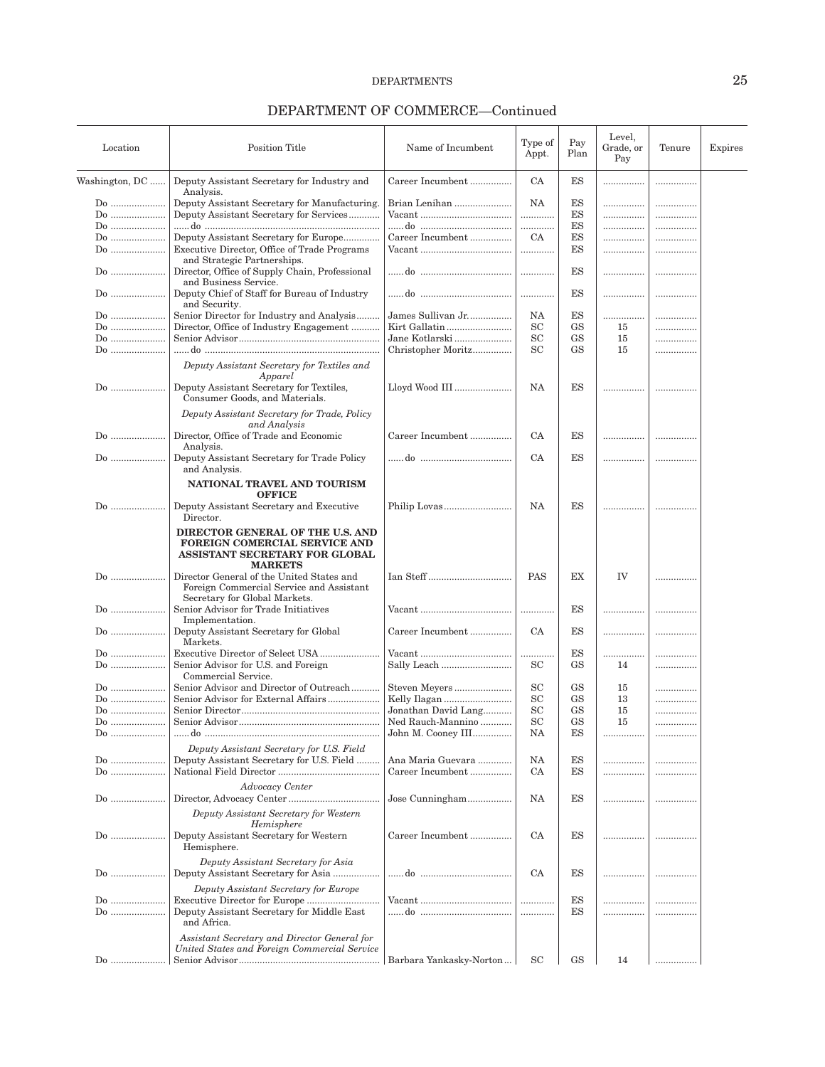| Location       | <b>Position Title</b>                                                                                                                                                     | Name of Incumbent       | Type of<br>Appt. | Pay<br>Plan            | Level,<br>Grade, or<br>Pay | Tenure | Expires |
|----------------|---------------------------------------------------------------------------------------------------------------------------------------------------------------------------|-------------------------|------------------|------------------------|----------------------------|--------|---------|
| Washington, DC | Deputy Assistant Secretary for Industry and                                                                                                                               | Career Incumbent        | CA               | ES                     | .                          | .      |         |
|                | Analysis.                                                                                                                                                                 |                         |                  |                        |                            |        |         |
| Do             | Deputy Assistant Secretary for Manufacturing.                                                                                                                             | Brian Lenihan           | NA               | ES                     |                            | .      |         |
|                |                                                                                                                                                                           |                         |                  |                        |                            |        |         |
| $Do$           | Deputy Assistant Secretary for Services                                                                                                                                   |                         | .                | $_{\rm ES}$            |                            | .      |         |
| Do             |                                                                                                                                                                           |                         |                  | ES                     |                            |        |         |
| Do             | Deputy Assistant Secretary for Europe                                                                                                                                     | Career Incumbent        | CA               | ES                     | .                          |        |         |
| Do             | Executive Director, Office of Trade Programs                                                                                                                              |                         | .                | ES                     |                            |        |         |
|                | and Strategic Partnerships.                                                                                                                                               |                         |                  |                        |                            |        |         |
| $Do$           | Director, Office of Supply Chain, Professional<br>and Business Service.                                                                                                   |                         | .                | ES                     | .                          | .      |         |
| Do             | Deputy Chief of Staff for Bureau of Industry<br>and Security.                                                                                                             |                         |                  | ES                     | .                          |        |         |
| Do             | Senior Director for Industry and Analysis                                                                                                                                 | James Sullivan Jr       | NA               | ES                     | .                          |        |         |
| Do             | Director, Office of Industry Engagement                                                                                                                                   | Kirt Gallatin           | <b>SC</b>        | <b>GS</b>              | 15                         | .      |         |
| $Do$           |                                                                                                                                                                           | Jane Kotlarski          | SC               | <b>GS</b>              | 15                         |        |         |
| Do             |                                                                                                                                                                           | Christopher Moritz      | <b>SC</b>        | <b>GS</b>              | 15                         |        |         |
|                |                                                                                                                                                                           |                         |                  |                        |                            | .      |         |
|                | Deputy Assistant Secretary for Textiles and<br>Apparel                                                                                                                    |                         |                  |                        |                            |        |         |
| Do             | Deputy Assistant Secretary for Textiles,<br>Consumer Goods, and Materials.                                                                                                | Lloyd Wood III          | NA               | ES                     | .                          | .      |         |
|                | Deputy Assistant Secretary for Trade, Policy<br>and Analysis                                                                                                              |                         |                  |                        |                            |        |         |
| Do             | Director, Office of Trade and Economic<br>Analysis.                                                                                                                       | Career Incumbent        | CA               | ES                     |                            | .      |         |
| $Do$           | Deputy Assistant Secretary for Trade Policy<br>and Analysis.                                                                                                              |                         | CA               | ES                     | .                          |        |         |
| Do             | NATIONAL TRAVEL AND TOURISM<br><b>OFFICE</b><br>Deputy Assistant Secretary and Executive<br>Director.                                                                     |                         | NA               | ES                     |                            |        |         |
| Do             | DIRECTOR GENERAL OF THE U.S. AND<br><b>FOREIGN COMERCIAL SERVICE AND</b><br>ASSISTANT SECRETARY FOR GLOBAL<br><b>MARKETS</b><br>Director General of the United States and |                         | PAS              | EX                     | IV                         |        |         |
|                | Foreign Commercial Service and Assistant<br>Secretary for Global Markets.                                                                                                 |                         |                  |                        |                            |        |         |
| Do             | Senior Advisor for Trade Initiatives<br>Implementation.                                                                                                                   |                         |                  | ES                     | .                          | .      |         |
| Do             | Deputy Assistant Secretary for Global<br>Markets.                                                                                                                         | Career Incumbent        | CA               | ES                     |                            | .      |         |
| Do             |                                                                                                                                                                           |                         | .                | ES                     | .                          |        |         |
| Do             | Senior Advisor for U.S. and Foreign<br>Commercial Service.                                                                                                                | Sally Leach             | SС               | <b>GS</b>              | 14                         | .      |         |
| $Do$           | Senior Advisor and Director of Outreach                                                                                                                                   | Steven Meyers           | SC               | GS                     | 15                         |        |         |
|                |                                                                                                                                                                           |                         |                  |                        |                            |        |         |
| Do             | Senior Advisor for External Affairs                                                                                                                                       | Kelly Ilagan            | SC               | <b>GS</b>              | 13                         |        |         |
| $Do$           |                                                                                                                                                                           | Jonathan David Lang     | SC               | <b>GS</b>              | 15                         |        |         |
| Do             |                                                                                                                                                                           | Ned Rauch-Mannino       | SC               | $\mathbf{G}\mathbf{S}$ | 15                         |        |         |
| Do             |                                                                                                                                                                           | John M. Cooney III      | NA               | ES                     | .                          | .      |         |
|                | Deputy Assistant Secretary for U.S. Field                                                                                                                                 |                         |                  |                        |                            |        |         |
| Do             | Deputy Assistant Secretary for U.S. Field                                                                                                                                 | Ana Maria Guevara       | NA               | ES                     |                            |        |         |
| $Do$           |                                                                                                                                                                           | Career Incumbent        | CA               | ES                     | .                          |        |         |
| $Do$           | Advocacy Center                                                                                                                                                           | Jose Cunningham         | NA               | ES                     | .                          |        |         |
|                | Deputy Assistant Secretary for Western                                                                                                                                    |                         |                  |                        |                            |        |         |
| $Do$           | Hemisphere<br>Deputy Assistant Secretary for Western<br>Hemisphere.                                                                                                       | Career Incumbent        | CA               | ES                     |                            |        |         |
|                | Deputy Assistant Secretary for Asia                                                                                                                                       |                         |                  |                        |                            |        |         |
| $Do$           | Deputy Assistant Secretary for Europe                                                                                                                                     |                         | CA               | ES                     |                            |        |         |
| Do             | Executive Director for Europe                                                                                                                                             |                         |                  | ES                     |                            |        |         |
| Do             | Deputy Assistant Secretary for Middle East<br>and Africa.                                                                                                                 |                         | .<br>.           | ES                     | .<br>.                     |        |         |
|                | Assistant Secretary and Director General for<br>United States and Foreign Commercial Service                                                                              |                         |                  |                        |                            |        |         |
|                |                                                                                                                                                                           |                         |                  |                        |                            |        |         |
| Do             |                                                                                                                                                                           | Barbara Yankasky-Norton | <b>SC</b>        | <b>GS</b>              | 14                         |        |         |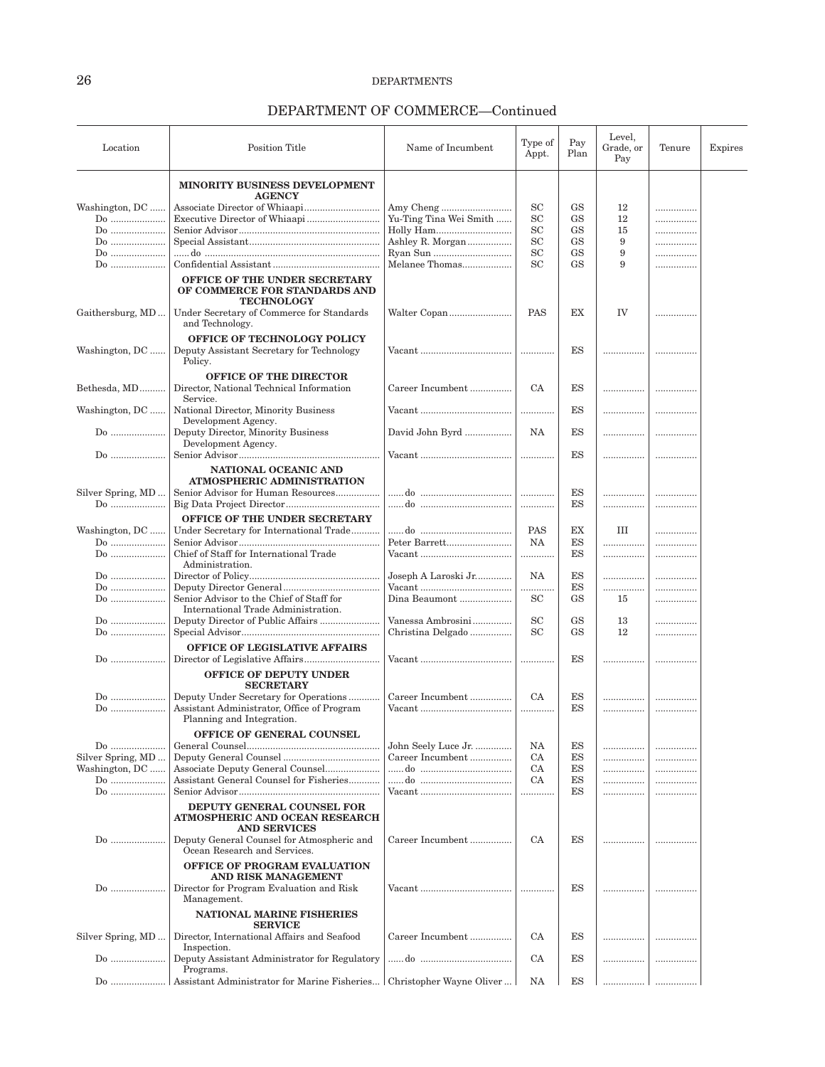| Location          | <b>Position Title</b>                                                               | Name of Incumbent        | Type of<br>Appt. | Pay<br>Plan | Level,<br>Grade, or<br>Pay | Tenure | Expires |
|-------------------|-------------------------------------------------------------------------------------|--------------------------|------------------|-------------|----------------------------|--------|---------|
|                   | MINORITY BUSINESS DEVELOPMENT                                                       |                          |                  |             |                            |        |         |
|                   | <b>AGENCY</b>                                                                       |                          |                  |             |                            |        |         |
| Washington, DC    | Associate Director of Whiaapi                                                       |                          | $_{\rm SC}$      | GS          | 12                         | .      |         |
| $Do$              |                                                                                     | Yu-Ting Tina Wei Smith   | SC               | <b>GS</b>   | 12                         | .      |         |
| Do                |                                                                                     |                          | $_{\rm SC}$      | <b>GS</b>   | 15                         |        |         |
| Do                |                                                                                     | Ashley R. Morgan         | SC               | <b>GS</b>   | 9                          | .      |         |
| Do                |                                                                                     |                          | SC               | <b>GS</b>   | 9                          |        |         |
| $Do$              |                                                                                     | Melanee Thomas           | SC               | <b>GS</b>   | 9                          |        |         |
|                   | OFFICE OF THE UNDER SECRETARY<br>OF COMMERCE FOR STANDARDS AND<br><b>TECHNOLOGY</b> |                          |                  |             |                            |        |         |
| Gaithersburg, MD  | Under Secretary of Commerce for Standards<br>and Technology.                        |                          | PAS              | EX          | IV                         | .      |         |
|                   | <b>OFFICE OF TECHNOLOGY POLICY</b>                                                  |                          |                  |             |                            |        |         |
| Washington, DC    | Deputy Assistant Secretary for Technology                                           |                          |                  | ES          | .                          |        |         |
|                   | Policy.                                                                             |                          |                  |             |                            |        |         |
|                   | <b>OFFICE OF THE DIRECTOR</b>                                                       |                          |                  |             |                            |        |         |
| Bethesda, MD      | Director, National Technical Information                                            | Career Incumbent         | <b>CA</b>        | ES          | .                          |        |         |
|                   | Service.                                                                            |                          |                  |             |                            |        |         |
| Washington, DC    | National Director, Minority Business                                                |                          | .                | <b>ES</b>   |                            |        |         |
|                   | Development Agency.                                                                 |                          |                  |             |                            |        |         |
| $Do$              | Deputy Director, Minority Business                                                  | David John Byrd          | NA               | ES          |                            |        |         |
|                   | Development Agency.                                                                 |                          |                  |             |                            |        |         |
| Do                |                                                                                     |                          |                  | <b>ES</b>   | .                          | .      |         |
|                   | NATIONAL OCEANIC AND                                                                |                          |                  |             |                            |        |         |
|                   | ATMOSPHERIC ADMINISTRATION                                                          |                          |                  |             |                            |        |         |
| Silver Spring, MD | Senior Advisor for Human Resources                                                  |                          | .                | ES          | .                          |        |         |
| Do                |                                                                                     |                          | .                | ES          | .                          |        |         |
|                   | OFFICE OF THE UNDER SECRETARY                                                       |                          |                  |             |                            |        |         |
| Washington, DC    | Under Secretary for International Trade                                             |                          | <b>PAS</b>       | EX          | Ш                          |        |         |
| $Do$              |                                                                                     | Peter Barrett            | NA               | ES          |                            |        |         |
| $Do$              | Chief of Staff for International Trade                                              |                          | .                | ES          |                            |        |         |
|                   | Administration.                                                                     |                          |                  |             |                            |        |         |
| $Do$              |                                                                                     | Joseph A Laroski Jr      | NA               | ES          | .                          | .      |         |
| Do                |                                                                                     |                          | .                | ES          |                            |        |         |
| Do                | Senior Advisor to the Chief of Staff for                                            | Dina Beaumont            | <b>SC</b>        | <b>GS</b>   | 15                         |        |         |
|                   | International Trade Administration.                                                 |                          |                  |             |                            |        |         |
| $Do$              |                                                                                     | Vanessa Ambrosini        | <b>SC</b>        | GS          | 13                         | .      |         |
| Do                |                                                                                     | Christina Delgado        | SC               | <b>GS</b>   | 12                         |        |         |
|                   | <b>OFFICE OF LEGISLATIVE AFFAIRS</b>                                                |                          |                  |             |                            |        |         |
| $Do$              | Director of Legislative Affairs                                                     |                          |                  | ES          |                            |        |         |
|                   | <b>OFFICE OF DEPUTY UNDER</b><br><b>SECRETARY</b>                                   |                          |                  |             |                            |        |         |
| $Do$              | Deputy Under Secretary for Operations                                               | Career Incumbent         | CA               | ES          | .                          |        |         |
| Do                | Assistant Administrator, Office of Program                                          |                          |                  | ES          | .                          |        |         |
|                   | Planning and Integration.                                                           |                          |                  |             |                            |        |         |
|                   | <b>OFFICE OF GENERAL COUNSEL</b>                                                    |                          |                  |             |                            |        |         |
| Do                |                                                                                     | John Seely Luce Jr.      | NA               | ES          |                            |        |         |
| Silver Spring, MD |                                                                                     | Career Incumbent         | <b>CA</b>        | ES          |                            | .      |         |
| Washington, DC    | Associate Deputy General Counsel                                                    |                          | <b>CA</b>        | ES          | .                          |        |         |
| $Do$              | Assistant General Counsel for Fisheries                                             |                          | <b>CA</b>        | ES          |                            |        |         |
| $Do$              |                                                                                     |                          | .                | ES          | .                          |        |         |
|                   | DEPUTY GENERAL COUNSEL FOR<br>ATMOSPHERIC AND OCEAN RESEARCH<br><b>AND SERVICES</b> |                          |                  |             |                            |        |         |
| Do                | Deputy General Counsel for Atmospheric and<br>Ocean Research and Services.          | Career Incumbent         | <b>CA</b>        | ES          |                            |        |         |
|                   | OFFICE OF PROGRAM EVALUATION<br>AND RISK MANAGEMENT                                 |                          |                  |             |                            |        |         |
| Do                | Director for Program Evaluation and Risk<br>Management.                             |                          | .                | ES          |                            |        |         |
|                   | <b>NATIONAL MARINE FISHERIES</b><br><b>SERVICE</b>                                  |                          |                  |             |                            |        |         |
| Silver Spring, MD | Director, International Affairs and Seafood<br>Inspection.                          | Career Incumbent         | CA               | ES          | .                          |        |         |
| Do                | Deputy Assistant Administrator for Regulatory<br>Programs.                          |                          | CA               | ES          | .                          |        |         |
| Do                | Assistant Administrator for Marine Fisheries                                        | Christopher Wayne Oliver | NA               | ES          | .                          |        |         |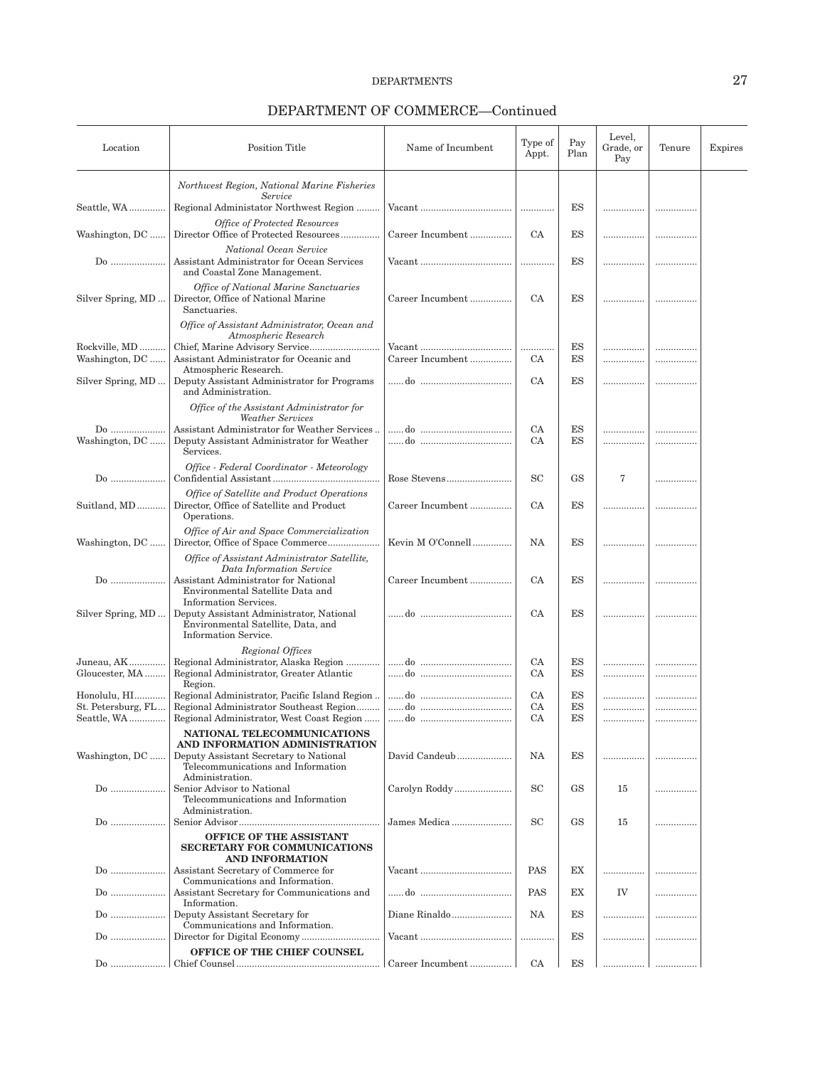| Location                          | <b>Position Title</b>                                                                                                                                | Name of Incumbent          | Type of<br>Appt. | Pay<br>Plan | Level,<br>Grade, or<br>Pay | Tenure | Expires |
|-----------------------------------|------------------------------------------------------------------------------------------------------------------------------------------------------|----------------------------|------------------|-------------|----------------------------|--------|---------|
|                                   | Northwest Region, National Marine Fisheries                                                                                                          |                            |                  |             |                            |        |         |
| Seattle, WA                       | Service<br>Regional Administator Northwest Region                                                                                                    |                            |                  | ES          |                            |        |         |
| Washington, DC                    | <b>Office of Protected Resources</b><br>Director Office of Protected Resources                                                                       | Career Incumbent           | СA               | ES          |                            |        |         |
| Do                                | National Ocean Service<br>Assistant Administrator for Ocean Services<br>and Coastal Zone Management.                                                 | Vacant                     |                  | ES          |                            |        |         |
| Silver Spring, MD                 | <b>Office of National Marine Sanctuaries</b><br>Director, Office of National Marine<br>Sanctuaries.                                                  | Career Incumbent           | <b>CA</b>        | ES          |                            |        |         |
|                                   | Office of Assistant Administrator, Ocean and<br>Atmospheric Research                                                                                 |                            |                  |             |                            |        |         |
| Rockville, MD<br>Washington, DC   | Assistant Administrator for Oceanic and<br>Atmospheric Research.                                                                                     | Vacant<br>Career Incumbent | .<br>CA          | ES<br>ES    | .<br>                      |        |         |
| Silver Spring, MD                 | Deputy Assistant Administrator for Programs<br>and Administration.                                                                                   |                            | <b>CA</b>        | ES          | .                          |        |         |
|                                   | Office of the Assistant Administrator for<br><b>Weather Services</b>                                                                                 |                            |                  |             |                            |        |         |
| $Do$<br>Washington, DC            | Assistant Administrator for Weather Services<br>Deputy Assistant Administrator for Weather<br>Services.                                              |                            | CA<br>CA         | ES<br>ES    |                            |        |         |
| Do                                | Office - Federal Coordinator - Meteorology                                                                                                           | Rose Stevens               | SC               | <b>GS</b>   | 7                          |        |         |
| Suitland, MD                      | Office of Satellite and Product Operations<br>Director, Office of Satellite and Product<br>Operations.                                               | Career Incumbent           | CA               | ES          |                            |        |         |
| Washington, DC                    | Office of Air and Space Commercialization<br>Director, Office of Space Commerce                                                                      | Kevin M O'Connell          | NA               | ES          |                            |        |         |
| Do                                | Office of Assistant Administrator Satellite,<br>Data Information Service<br>Assistant Administrator for National<br>Environmental Satellite Data and | Career Incumbent           | СA               | ES          |                            |        |         |
| Silver Spring, MD                 | Information Services.<br>Deputy Assistant Administrator, National<br>Environmental Satellite, Data, and<br>Information Service.                      |                            | СA               | ES          |                            |        |         |
| Juneau, AK                        | Regional Offices<br>Regional Administrator, Alaska Region                                                                                            |                            | <b>CA</b>        | ES          |                            |        |         |
| Gloucester, MA                    | Regional Administrator, Greater Atlantic<br>Region.                                                                                                  |                            | СA               | ES          | .                          |        |         |
| Honolulu, HI                      |                                                                                                                                                      |                            | <b>CA</b>        | ES          |                            |        |         |
| St. Petersburg, FL<br>Seattle, WA | ${\bf Regional\, Administration, West\, Coast\, Region\,\,\Big \,\,do\  \,$                                                                          |                            | СA<br>CA         | ES<br>ES    | .                          | .      |         |
| Washington, DC                    | NATIONAL TELECOMMUNICATIONS<br>AND INFORMATION ADMINISTRATION<br>Deputy Assistant Secretary to National                                              | David Candeub              | NA               | ES          |                            |        |         |
| Do                                | Telecommunications and Information<br>Administration.<br>Senior Advisor to National<br>Telecommunications and Information                            | Carolyn Roddy              | SC               | <b>GS</b>   | 15                         | .      |         |
| $Do$                              | Administration.                                                                                                                                      | James Medica               | SC               | <b>GS</b>   | 15                         | .      |         |
|                                   | OFFICE OF THE ASSISTANT<br><b>SECRETARY FOR COMMUNICATIONS</b><br>AND INFORMATION                                                                    |                            |                  |             |                            |        |         |
| $Do$                              | Assistant Secretary of Commerce for<br>Communications and Information.                                                                               |                            | <b>PAS</b>       | EX          |                            | .      |         |
| $Do$                              | Assistant Secretary for Communications and<br>Information.                                                                                           |                            | PAS              | ЕX          | IV                         | .      |         |
| $Do$                              | Deputy Assistant Secretary for<br>Communications and Information.                                                                                    | Diane Rinaldo              | NA               | ES          | .                          | .      |         |
| Do                                | OFFICE OF THE CHIEF COUNSEL                                                                                                                          |                            | .                | ES          | .                          |        |         |
| Do                                |                                                                                                                                                      | Career Incumbent           | СA               | ES          | .                          |        |         |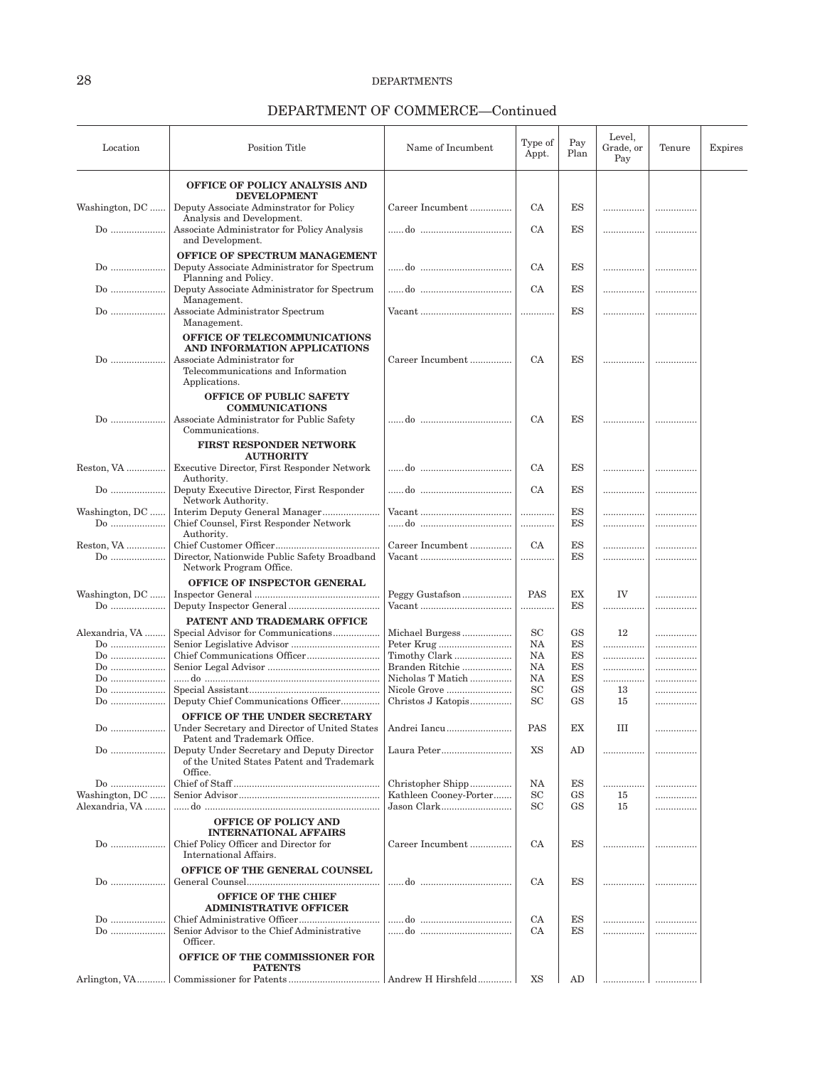| Location             | Position Title                                                                          | Name of Incumbent           | Type of<br>Appt. | Pay<br>Plan     | Level.<br>Grade, or<br>Pay | Tenure | Expires |
|----------------------|-----------------------------------------------------------------------------------------|-----------------------------|------------------|-----------------|----------------------------|--------|---------|
|                      | OFFICE OF POLICY ANALYSIS AND                                                           |                             |                  |                 |                            |        |         |
| Washington, DC       | <b>DEVELOPMENT</b><br>Deputy Associate Adminstrator for Policy                          | Career Incumbent            | CA               | ES              | .                          |        |         |
|                      | Analysis and Development.                                                               |                             |                  |                 |                            |        |         |
| Do                   | Associate Administrator for Policy Analysis<br>and Development.                         |                             | CA               | ES              | .                          |        |         |
|                      | OFFICE OF SPECTRUM MANAGEMENT                                                           |                             |                  |                 |                            |        |         |
| Do                   | Deputy Associate Administrator for Spectrum<br>Planning and Policy.                     |                             | <b>CA</b>        | ES              |                            |        |         |
| Do                   | Deputy Associate Administrator for Spectrum<br>Management.                              |                             | CA               | ES              |                            |        |         |
| Do                   | Associate Administrator Spectrum<br>Management.                                         |                             |                  | ES              |                            |        |         |
|                      | OFFICE OF TELECOMMUNICATIONS                                                            |                             |                  |                 |                            |        |         |
| Do                   | AND INFORMATION APPLICATIONS<br>Associate Administrator for                             | Career Incumbent            | <b>CA</b>        | ES              |                            |        |         |
|                      | Telecommunications and Information<br>Applications.                                     |                             |                  |                 |                            |        |         |
|                      | <b>OFFICE OF PUBLIC SAFETY</b>                                                          |                             |                  |                 |                            |        |         |
| $Do$                 | <b>COMMUNICATIONS</b><br>Associate Administrator for Public Safety                      |                             | CA               | ES              |                            |        |         |
|                      | Communications.<br><b>FIRST RESPONDER NETWORK</b>                                       |                             |                  |                 |                            |        |         |
|                      | <b>AUTHORITY</b>                                                                        |                             |                  |                 |                            |        |         |
| Reston, VA           | Executive Director, First Responder Network<br>Authority.                               |                             | <b>CA</b>        | ES              |                            |        |         |
| Do                   | Deputy Executive Director, First Responder<br>Network Authority.                        |                             | CA               | ES              |                            |        |         |
| Washington, DC<br>Do | Interim Deputy General Manager<br>Chief Counsel, First Responder Network                |                             | .                | ES<br><b>ES</b> | .                          |        |         |
|                      | Authority.                                                                              |                             |                  |                 |                            |        |         |
| Reston, VA<br>Do     | Director, Nationwide Public Safety Broadband                                            | Career Incumbent            | <b>CA</b>        | ES<br>ES        | .                          |        |         |
|                      | Network Program Office.                                                                 |                             |                  |                 | .                          |        |         |
| Washington, DC       | OFFICE OF INSPECTOR GENERAL                                                             | Peggy Gustafson             | <b>PAS</b>       | ЕX              | IV                         |        |         |
|                      |                                                                                         |                             | .                | ES              |                            | .      |         |
|                      | PATENT AND TRADEMARK OFFICE                                                             |                             |                  |                 |                            |        |         |
| Alexandria, VA       | Special Advisor for Communications                                                      | Michael Burgess             | SC               | <b>GS</b><br>ES | 12                         |        |         |
| Do<br>Do             |                                                                                         | Peter Krug<br>Timothy Clark | NA<br>NA         | ES              | .<br>.                     | .      |         |
| Do                   |                                                                                         | Branden Ritchie             | NA               | ES              | .                          | .<br>  |         |
|                      |                                                                                         | Nicholas T Matich           | NA               | ES              |                            |        |         |
| Do                   |                                                                                         | Nicole Grove                | <b>SC</b>        | <b>GS</b>       | .<br>13                    | <br>.  |         |
| Do                   | Deputy Chief Communications Officer                                                     | Christos J Katopis          | <b>SC</b>        | <b>GS</b>       | 15                         | .      |         |
|                      | OFFICE OF THE UNDER SECRETARY                                                           |                             |                  |                 |                            |        |         |
| $Do$                 | Under Secretary and Director of United States<br>Patent and Trademark Office.           | Andrei Iancu                | PAS              | EX              | Ш                          | .      |         |
| $Do$                 | Deputy Under Secretary and Deputy Director<br>of the United States Patent and Trademark | Laura Peter                 | XS               | AD              |                            |        |         |
|                      | Office.                                                                                 |                             |                  |                 |                            |        |         |
| Do                   |                                                                                         | Christopher Shipp           | NA               | ES              | .                          |        |         |
| Washington, DC       |                                                                                         | Kathleen Cooney-Porter      | <b>SC</b>        | GS              | 15                         |        |         |
| Alexandria, VA       |                                                                                         | Jason Clark                 | <b>SC</b>        | <b>GS</b>       | 15                         |        |         |
|                      | <b>OFFICE OF POLICY AND</b>                                                             |                             |                  |                 |                            |        |         |
| Do                   | <b>INTERNATIONAL AFFAIRS</b><br>Chief Policy Officer and Director for                   | Career Incumbent            | CA               | ES              |                            |        |         |
|                      | International Affairs.<br>OFFICE OF THE GENERAL COUNSEL                                 |                             |                  |                 |                            |        |         |
| Do                   |                                                                                         |                             | <b>CA</b>        | ES              |                            |        |         |
|                      | <b>OFFICE OF THE CHIEF</b><br><b>ADMINISTRATIVE OFFICER</b>                             |                             |                  |                 |                            |        |         |
| $Do$                 |                                                                                         |                             | CA               | ES              |                            |        |         |
| Do                   | Senior Advisor to the Chief Administrative<br>Officer.                                  |                             | CA               | ES              | .                          |        |         |
|                      | OFFICE OF THE COMMISSIONER FOR<br><b>PATENTS</b>                                        |                             |                  |                 |                            |        |         |
| Arlington, VA        |                                                                                         | Andrew H Hirshfeld          | XS               | AD              | .                          |        |         |
|                      |                                                                                         |                             |                  |                 |                            |        |         |